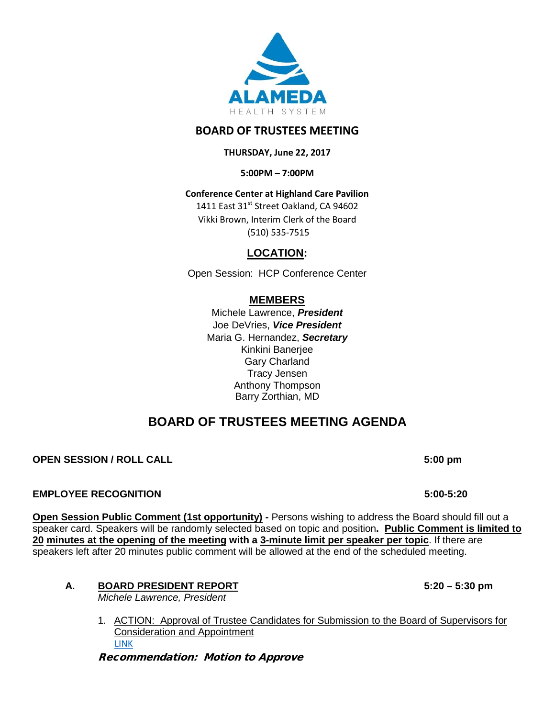

# **BOARD OF TRUSTEES MEETING**

### **THURSDAY, June 22, 2017**

**5:00PM – 7:00PM**

# **Conference Center at Highland Care Pavilion**

1411 East 31st Street Oakland, CA 94602 Vikki Brown, Interim Clerk of the Board (510) 535-7515

# **LOCATION:**

Open Session: HCP Conference Center

# **MEMBERS**

Michele Lawrence, *President*  Joe DeVries, *Vice President*  Maria G. Hernandez, *Secretary* Kinkini Banerjee Gary Charland Tracy Jensen Anthony Thompson Barry Zorthian, MD

# **BOARD OF TRUSTEES MEETING AGENDA**

## **OPEN SESSION / ROLL CALL 6 ALL 6 ALL 6 ALL 6 ALL 6 ALL 6 ALL 6 ALL 6 ALL 6 ALL 6 ALL 6 ALL 6 ALL 6 ALL 6 ALL 6 ALL 6 ALL 6 ALL 6 ALL 6 ALL 6 ALL 6 ALL 6 ALL 6 ALL 6 ALL 6 ALL 6 ALL 6 ALL 6 ALL 6 ALL 6 ALL 6 ALL 6 ALL 6 AL**

#### **EMPLOYEE RECOGNITION 5:00-5:20**

**Open Session Public Comment (1st opportunity) -** Persons wishing to address the Board should fill out a speaker card. Speakers will be randomly selected based on topic and position**. Public Comment is limited to 20 minutes at the opening of the meeting with a 3-minute limit per speaker per topic**. If there are speakers left after 20 minutes public comment will be allowed at the end of the scheduled meeting.

# **A. BOARD PRESIDENT REPORT 5:20 – 5:30 pm**

*Michele Lawrence, President*

1. ACTION: Approval of Trustee Candidates for Submission to the Board of Supervisors for Consideration and Appointment [LINK](https://www.dropbox.com/s/myd9xuq858qszvi/Item%20A1%20-%20Trustee%20Nomination%20Memo%206.22.2017.pdf?dl=0)

Recommendation: Motion to Approve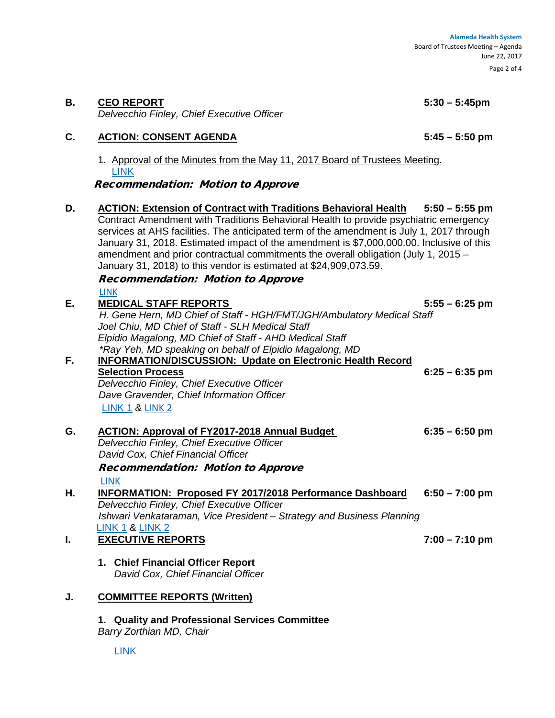#### **B. CEO REPORT 5:30 – 5:45pm**

*Delvecchio Finley, Chief Executive Officer*

#### **C. ACTION: CONSENT AGENDA 5:45 – 5:50 pm**

1. Approval of the Minutes from the May 11, 2017 Board of Trustees Meeting. [LINK](https://www.dropbox.com/s/pqo7r633qpuzbal/Item%20C%20-%2005112017%20BOT%20Meeting%20Minutes%20-%20MM%20final.pdf?dl=0)

Recommendation: Motion to Approve

- **D. ACTION: Extension of Contract with Traditions Behavioral Health 5:50 – 5:55 pm** Contract Amendment with Traditions Behavioral Health to provide psychiatric emergency services at AHS facilities. The anticipated term of the amendment is July 1, 2017 through January 31, 2018. Estimated impact of the amendment is \$7,000,000.00. Inclusive of this amendment and prior contractual commitments the overall obligation (July 1, 2015 – January 31, 2018) to this vendor is estimated at \$24,909,073.59. Recommendation: Motion to Approve [LINK](https://www.dropbox.com/s/mdcffuwy9jqsc87/ITEM%20D%20-%20TBH%20BOT%20Summary%20June%202017.pdf?dl=0) **E. MEDICAL STAFF REPORTS 5:55 – 6:25 pm** *H. Gene Hern, MD Chief of Staff - HGH/FMT/JGH/Ambulatory Medical Staff Joel Chiu, MD Chief of Staff - SLH Medical Staff Elpidio Magalong, MD Chief of Staff - AHD Medical Staff \*Ray Yeh, MD speaking on behalf of Elpidio Magalong, MD* **INFORMATION/DISCUSSION: Update on Electronic Health Record Selection Process 6:25 – 6:35 pm** *Delvecchio Finley, Chief Executive Officer Dave Gravender, Chief Information Officer* [LINK](https://www.dropbox.com/s/0o0mmsahyoa7grh/Item%20E%20-%20BOT%20EHR%20Selection%20Final.pdf?dl=0) 1 & [LINK 2](https://www.dropbox.com/s/1dnlh32o8kxq0uu/Item%20F%20-%2020170622%20BOT%20-%20EHR%20Selection%20Presentation.pptx?dl=0) **G. ACTION: Approval of FY2017-2018 Annual Budget 6:35 – 6:50 pm** *Delvecchio Finley, Chief Executive Officer David Cox, Chief Financial Officer* Recommendation: Motion to Approve [LINK](https://www.dropbox.com/s/lmryqi307qrspy5/Item%20F%20-%202018%20Budget%20Book%20Final.PDF?dl=0) **H. INFORMATION: Proposed FY 2017/2018 Performance Dashboard 6:50 – 7:00 pm** *Delvecchio Finley, Chief Executive Officer Ishwari Venkataraman, Vice President – Strategy and Business Planning* [LINK 1](https://www.dropbox.com/s/hfn6hcxa6wvck5a/Item%20G%20-%202010622%20BOT%20MEMO-%20AHS%20FY%2718%20PERFORMANCE%20DASHBOARD.pdf?dl=0) & [LINK 2](https://www.dropbox.com/s/pkcfmyuumblsx63/Item%20G%20-%20True%20North%20Metric%20Planning%20Grid%20FY2018_Draft%20BOT.pdf?dl=0) **I. EXECUTIVE REPORTS 7:00 – 7:10 pm 1. Chief Financial Officer Report** *David Cox, Chief Financial Officer* **J. COMMITTEE REPORTS (Written)**
	- **1. Quality and Professional Services Committee**  *Barry Zorthian MD, Chair*

[LINK](https://www.dropbox.com/s/7g7pee0gjg6a0vb/Item%20I%20-%20QPSC%20Report%20Written%20Memo%20for%20May%2025%202017.pdf?dl=0)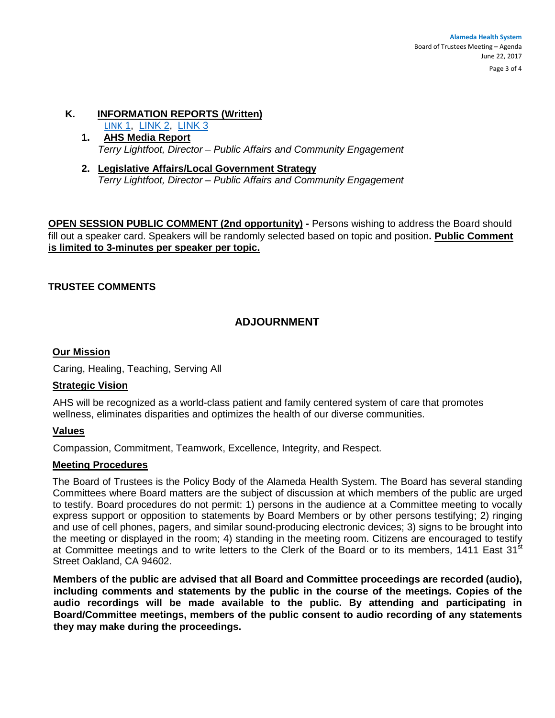#### **Alameda Health System**  Board of Trustees Meeting – Agenda June 22, 2017

Page 3 of 4

#### **K. INFORMATION REPORTS (Written)**

[LINK](https://www.dropbox.com/s/q3h9eo2wov99tgx/Item%20J1%20-%202017%206%2015%20Media%20Report.pdf?dl=0) 1, [LINK 2,](https://www.dropbox.com/s/aaf3j2e0097rfso/Item%20J1%20-%20Community%20Engagement%20Report.06.22.2017%20vf.pdf?dl=0) [LINK 3](https://www.dropbox.com/s/hzlgau9qwdozsjo/Item%20J2%20-%202017.06.16%20California%20Budget%20Memo.pdf?dl=0)

- **1. AHS Media Report** *Terry Lightfoot, Director – Public Affairs and Community Engagement*
- **2. Legislative Affairs/Local Government Strategy**  *Terry Lightfoot, Director – Public Affairs and Community Engagement*

**OPEN SESSION PUBLIC COMMENT (2nd opportunity) - Persons wishing to address the Board should** fill out a speaker card. Speakers will be randomly selected based on topic and position**. Public Comment is limited to 3-minutes per speaker per topic.**

#### **TRUSTEE COMMENTS**

# **ADJOURNMENT**

#### **Our Mission**

Caring, Healing, Teaching, Serving All

#### **Strategic Vision**

AHS will be recognized as a world-class patient and family centered system of care that promotes wellness, eliminates disparities and optimizes the health of our diverse communities.

#### **Values**

Compassion, Commitment, Teamwork, Excellence, Integrity, and Respect.

#### **Meeting Procedures**

The Board of Trustees is the Policy Body of the Alameda Health System. The Board has several standing Committees where Board matters are the subject of discussion at which members of the public are urged to testify. Board procedures do not permit: 1) persons in the audience at a Committee meeting to vocally express support or opposition to statements by Board Members or by other persons testifying; 2) ringing and use of cell phones, pagers, and similar sound-producing electronic devices; 3) signs to be brought into the meeting or displayed in the room; 4) standing in the meeting room. Citizens are encouraged to testify at Committee meetings and to write letters to the Clerk of the Board or to its members, 1411 East 31<sup>st</sup> Street Oakland, CA 94602.

**Members of the public are advised that all Board and Committee proceedings are recorded (audio), including comments and statements by the public in the course of the meetings. Copies of the audio recordings will be made available to the public. By attending and participating in Board/Committee meetings, members of the public consent to audio recording of any statements they may make during the proceedings.**